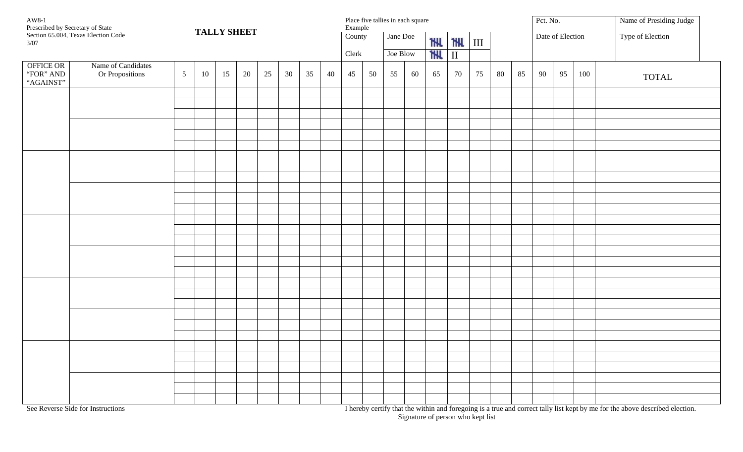| AW8-1<br>Prescribed by Secretary of State<br>Section 65.004, Texas Election Code                         |                                       |                | <b>TALLY SHEET</b> |    |    |    |    |                      |    | Place five tallies in each square<br>Example |    |            |                |            |                  |    |    |    | Pct. No. |                  |         | Name of Presiding Judge                                                                                                                                                                                                          |
|----------------------------------------------------------------------------------------------------------|---------------------------------------|----------------|--------------------|----|----|----|----|----------------------|----|----------------------------------------------|----|------------|----------------|------------|------------------|----|----|----|----------|------------------|---------|----------------------------------------------------------------------------------------------------------------------------------------------------------------------------------------------------------------------------------|
| 3/07                                                                                                     |                                       |                |                    |    |    |    |    | $\overline{C}$ ounty |    | Jane Doe                                     |    | <b>THL</b> | <b>THU</b> III |            | Date of Election |    |    |    |          | Type of Election |         |                                                                                                                                                                                                                                  |
|                                                                                                          |                                       |                |                    |    |    |    |    |                      |    | Clerk                                        |    | Joe Blow   |                | <b>THE</b> | $\;$ II          |    |    |    |          |                  |         |                                                                                                                                                                                                                                  |
| OFFICE OR<br>"FOR" AND<br>"AGAINST"                                                                      | Name of Candidates<br>Or Propositions | $\mathfrak{S}$ | 10                 | 15 | 20 | 25 | 30 | 35                   | 40 | 45                                           | 50 | 55         | 60             | 65         | 70               | 75 | 80 | 85 | 90       | 95               | $100\,$ | <b>TOTAL</b>                                                                                                                                                                                                                     |
|                                                                                                          |                                       |                |                    |    |    |    |    |                      |    |                                              |    |            |                |            |                  |    |    |    |          |                  |         |                                                                                                                                                                                                                                  |
|                                                                                                          |                                       |                |                    |    |    |    |    |                      |    |                                              |    |            |                |            |                  |    |    |    |          |                  |         |                                                                                                                                                                                                                                  |
|                                                                                                          |                                       |                |                    |    |    |    |    |                      |    |                                              |    |            |                |            |                  |    |    |    |          |                  |         |                                                                                                                                                                                                                                  |
|                                                                                                          |                                       |                |                    |    |    |    |    |                      |    |                                              |    |            |                |            |                  |    |    |    |          |                  |         |                                                                                                                                                                                                                                  |
|                                                                                                          |                                       |                |                    |    |    |    |    |                      |    |                                              |    |            |                |            |                  |    |    |    |          |                  |         |                                                                                                                                                                                                                                  |
|                                                                                                          |                                       |                |                    |    |    |    |    |                      |    |                                              |    |            |                |            |                  |    |    |    |          |                  |         |                                                                                                                                                                                                                                  |
|                                                                                                          |                                       |                |                    |    |    |    |    |                      |    |                                              |    |            |                |            |                  |    |    |    |          |                  |         |                                                                                                                                                                                                                                  |
|                                                                                                          |                                       |                |                    |    |    |    |    |                      |    |                                              |    |            |                |            |                  |    |    |    |          |                  |         |                                                                                                                                                                                                                                  |
|                                                                                                          |                                       |                |                    |    |    |    |    |                      |    |                                              |    |            |                |            |                  |    |    |    |          |                  |         |                                                                                                                                                                                                                                  |
|                                                                                                          |                                       |                |                    |    |    |    |    |                      |    |                                              |    |            |                |            |                  |    |    |    |          |                  |         |                                                                                                                                                                                                                                  |
|                                                                                                          |                                       |                |                    |    |    |    |    |                      |    |                                              |    |            |                |            |                  |    |    |    |          |                  |         |                                                                                                                                                                                                                                  |
|                                                                                                          |                                       |                |                    |    |    |    |    |                      |    |                                              |    |            |                |            |                  |    |    |    |          |                  |         |                                                                                                                                                                                                                                  |
|                                                                                                          |                                       |                |                    |    |    |    |    |                      |    |                                              |    |            |                |            |                  |    |    |    |          |                  |         |                                                                                                                                                                                                                                  |
|                                                                                                          |                                       |                |                    |    |    |    |    |                      |    |                                              |    |            |                |            |                  |    |    |    |          |                  |         |                                                                                                                                                                                                                                  |
|                                                                                                          |                                       |                |                    |    |    |    |    |                      |    |                                              |    |            |                |            |                  |    |    |    |          |                  |         |                                                                                                                                                                                                                                  |
|                                                                                                          |                                       |                |                    |    |    |    |    |                      |    |                                              |    |            |                |            |                  |    |    |    |          |                  |         |                                                                                                                                                                                                                                  |
|                                                                                                          |                                       |                |                    |    |    |    |    |                      |    |                                              |    |            |                |            |                  |    |    |    |          |                  |         |                                                                                                                                                                                                                                  |
|                                                                                                          |                                       |                |                    |    |    |    |    |                      |    |                                              |    |            |                |            |                  |    |    |    |          |                  |         |                                                                                                                                                                                                                                  |
|                                                                                                          |                                       |                |                    |    |    |    |    |                      |    |                                              |    |            |                |            |                  |    |    |    |          |                  |         |                                                                                                                                                                                                                                  |
|                                                                                                          |                                       |                |                    |    |    |    |    |                      |    |                                              |    |            |                |            |                  |    |    |    |          |                  |         |                                                                                                                                                                                                                                  |
|                                                                                                          |                                       |                |                    |    |    |    |    |                      |    |                                              |    |            |                |            |                  |    |    |    |          |                  |         |                                                                                                                                                                                                                                  |
|                                                                                                          |                                       |                |                    |    |    |    |    |                      |    |                                              |    |            |                |            |                  |    |    |    |          |                  |         |                                                                                                                                                                                                                                  |
|                                                                                                          |                                       |                |                    |    |    |    |    |                      |    |                                              |    |            |                |            |                  |    |    |    |          |                  |         |                                                                                                                                                                                                                                  |
|                                                                                                          |                                       |                |                    |    |    |    |    |                      |    |                                              |    |            |                |            |                  |    |    |    |          |                  |         |                                                                                                                                                                                                                                  |
|                                                                                                          |                                       |                |                    |    |    |    |    |                      |    |                                              |    |            |                |            |                  |    |    |    |          |                  |         |                                                                                                                                                                                                                                  |
|                                                                                                          |                                       |                |                    |    |    |    |    |                      |    |                                              |    |            |                |            |                  |    |    |    |          |                  |         |                                                                                                                                                                                                                                  |
| $\overline{a}$ $\overline{b}$ $\overline{a}$ $\overline{a}$ $\overline{c}$ $\overline{r}$ $\overline{a}$ |                                       |                |                    |    |    |    |    |                      |    |                                              |    |            |                |            |                  |    |    |    |          |                  |         | $\mathbf{r}$ and the state of the state of the state of the state of the state of the state of the state of the state of the state of the state of the state of the state of the state of the state of the state of the state of |

See Reverse Side for Instructions **I hereby certify that the within and foregoing** is a true and correct tally list kept by me for the above described election. Signature of person who kept list \_\_\_\_\_\_\_\_\_\_\_\_\_\_\_\_\_\_\_\_\_\_\_\_\_\_\_\_\_\_\_\_\_\_\_\_\_\_\_\_\_\_\_\_\_\_\_\_\_\_\_\_\_\_